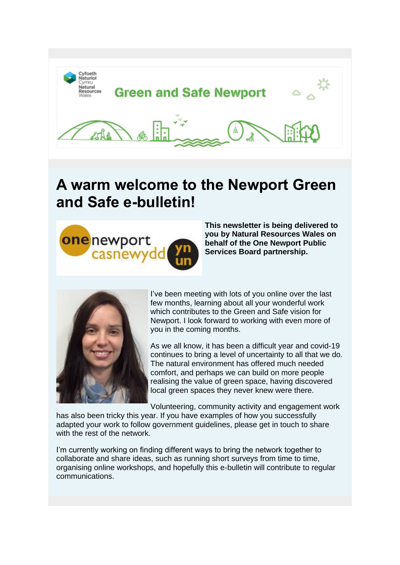







## **A warm welcome to the Newport Green and Safe e-bulletin!**



**This newsletter is being delivered to you by Natural Resources Wales on behalf of the One Newport Public Services Board partnership.**



I've been meeting with lots of you online over the last few months, learning about all your wonderful work which contributes to the Green and Safe vision for Newport. I look forward to working with even more of you in the coming months.

As we all know, it has been a difficult year and covid-19 continues to bring a level of uncertainty to all that we do. The natural environment has offered much needed comfort, and perhaps we can build on more people realising the value of green space, having discovered local green spaces they never knew were there.

Volunteering, community activity and engagement work

has also been tricky this year. If you have examples of how you successfully adapted your work to follow government guidelines, please get in touch to share with the rest of the network.

I'm currently working on finding different ways to bring the network together to collaborate and share ideas, such as running short surveys from time to time, organising online workshops, and hopefully this e-bulletin will contribute to regular communications.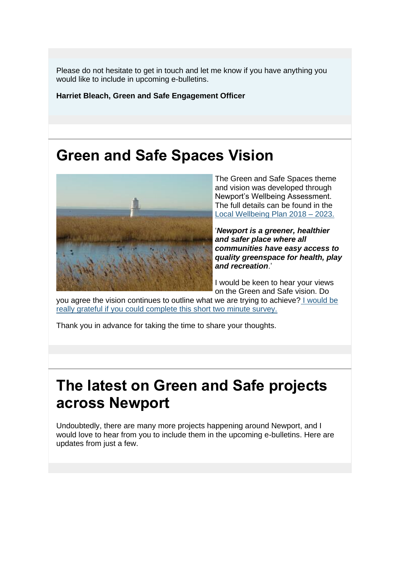Please do not hesitate to get in touch and let me know if you have anything you would like to include in upcoming e-bulletins.

**Harriet Bleach, Green and Safe Engagement Officer**

## **Green and Safe Spaces Vision**



The Green and Safe Spaces theme and vision was developed through Newport's Wellbeing Assessment. The full details can be found in the [Local Wellbeing Plan 2018 –](https://eur03.safelinks.protection.outlook.com/?url=https%3A%2F%2Flnks.gd%2Fl%2FeyJhbGciOiJIUzI1NiJ9.eyJidWxsZXRpbl9saW5rX2lkIjoxMDAsInVyaSI6ImJwMjpjbGljayIsImJ1bGxldGluX2lkIjoiMjAyMDExMDkuMzAwNzQyMzEiLCJ1cmwiOiJodHRwOi8vb25lbmV3cG9ydGxzYi5uZXdwb3J0Lmdvdi51ay9kb2N1bWVudHMvT25lLU5ld3BvcnQvUGVyZm9ybWFuY2UvV2VsbC1iZWluZy1QbGFuLUFubnVhbC1SZXBvcnQtMjAxOS0yMC1GaW5hbC1FTi5wZGY_dXRtX21lZGl1bT1lbWFpbCZ1dG1fc291cmNlPWdvdmRlbGl2ZXJ5In0.2O0DErzNC_12B8dTh5OrLw9NGimNNOF_tmnkbpzjeJg%2Fs%2F1312223162%2Fbr%2F88150361334-l&data=04%7C01%7CWayne.Tucker%40newport.gov.uk%7C095dcc4423544fc8bfbe08d88653ab22%7C2c4d0079c52c4bb3b3cad8eaf1b6b7d5%7C0%7C0%7C637407041217119323%7CUnknown%7CTWFpbGZsb3d8eyJWIjoiMC4wLjAwMDAiLCJQIjoiV2luMzIiLCJBTiI6Ik1haWwiLCJXVCI6Mn0%3D%7C1000&sdata=lH1mDJ8KBo8TCm6Mn6tqAY%2BPL%2B0Zv3kkvWOc9WjCmlY%3D&reserved=0) 2023.

'*Newport is a greener, healthier and safer place where all communities have easy access to quality greenspace for health, play and recreation*.'

I would be keen to hear your views on the Green and Safe vision. Do

you agree the vision continues to outline what we are trying to achieve? [I would be](https://eur03.safelinks.protection.outlook.com/?url=https%3A%2F%2Flnks.gd%2Fl%2FeyJhbGciOiJIUzI1NiJ9.eyJidWxsZXRpbl9saW5rX2lkIjoxMDEsInVyaSI6ImJwMjpjbGljayIsImJ1bGxldGluX2lkIjoiMjAyMDExMDkuMzAwNzQyMzEiLCJ1cmwiOiJodHRwczovL3ltZ3luZ2hvcmkuY3lmb2V0aG5hdHVyaW9sLmN5bXJ1L3NvdXRoLWVhc3Qtd2FsZXMtZGUtZGR3eXJhaW4tY3ltcnUvbmV3cG9ydC1ncmVlbi1hbmQtc2FmZS1zcGFjZXMtdmlzaW9uLz91dG1fbWVkaXVtPWVtYWlsJnV0bV9zb3VyY2U9Z292ZGVsaXZlcnkifQ.1CH8Hu6vJ7P34WX_RHYpqYOF2LSN0kunnZo3WmECuWY%2Fs%2F1312223162%2Fbr%2F88150361334-l&data=04%7C01%7CWayne.Tucker%40newport.gov.uk%7C095dcc4423544fc8bfbe08d88653ab22%7C2c4d0079c52c4bb3b3cad8eaf1b6b7d5%7C0%7C0%7C637407041217119323%7CUnknown%7CTWFpbGZsb3d8eyJWIjoiMC4wLjAwMDAiLCJQIjoiV2luMzIiLCJBTiI6Ik1haWwiLCJXVCI6Mn0%3D%7C1000&sdata=A68sRW4SErXIuik3pficS0ahSAqafhEcIC48aRqLpys%3D&reserved=0)  [really grateful if you could complete this short two minute survey.](https://eur03.safelinks.protection.outlook.com/?url=https%3A%2F%2Flnks.gd%2Fl%2FeyJhbGciOiJIUzI1NiJ9.eyJidWxsZXRpbl9saW5rX2lkIjoxMDEsInVyaSI6ImJwMjpjbGljayIsImJ1bGxldGluX2lkIjoiMjAyMDExMDkuMzAwNzQyMzEiLCJ1cmwiOiJodHRwczovL3ltZ3luZ2hvcmkuY3lmb2V0aG5hdHVyaW9sLmN5bXJ1L3NvdXRoLWVhc3Qtd2FsZXMtZGUtZGR3eXJhaW4tY3ltcnUvbmV3cG9ydC1ncmVlbi1hbmQtc2FmZS1zcGFjZXMtdmlzaW9uLz91dG1fbWVkaXVtPWVtYWlsJnV0bV9zb3VyY2U9Z292ZGVsaXZlcnkifQ.1CH8Hu6vJ7P34WX_RHYpqYOF2LSN0kunnZo3WmECuWY%2Fs%2F1312223162%2Fbr%2F88150361334-l&data=04%7C01%7CWayne.Tucker%40newport.gov.uk%7C095dcc4423544fc8bfbe08d88653ab22%7C2c4d0079c52c4bb3b3cad8eaf1b6b7d5%7C0%7C0%7C637407041217119323%7CUnknown%7CTWFpbGZsb3d8eyJWIjoiMC4wLjAwMDAiLCJQIjoiV2luMzIiLCJBTiI6Ik1haWwiLCJXVCI6Mn0%3D%7C1000&sdata=A68sRW4SErXIuik3pficS0ahSAqafhEcIC48aRqLpys%3D&reserved=0)

Thank you in advance for taking the time to share your thoughts.

# **The latest on Green and Safe projects across Newport**

Undoubtedly, there are many more projects happening around Newport, and I would love to hear from you to include them in the upcoming e-bulletins. Here are updates from just a few.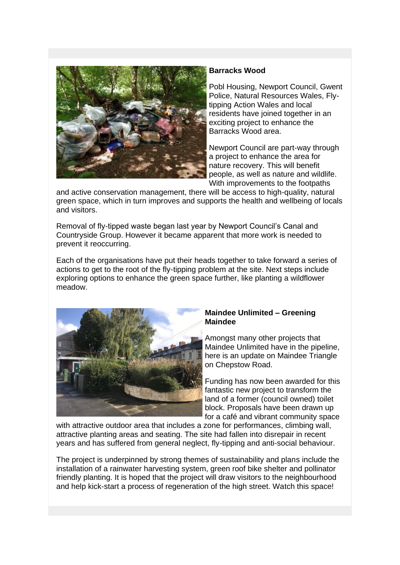

### **Barracks Wood**

Pobl Housing, Newport Council, Gwent Police, Natural Resources Wales, Flytipping Action Wales and local residents have joined together in an exciting project to enhance the Barracks Wood area.

Newport Council are part-way through a project to enhance the area for nature recovery. This will benefit people, as well as nature and wildlife. With improvements to the footpaths

and active conservation management, there will be access to high-quality, natural green space, which in turn improves and supports the health and wellbeing of locals and visitors.

Removal of fly-tipped waste began last year by Newport Council's Canal and Countryside Group. However it became apparent that more work is needed to prevent it reoccurring.

Each of the organisations have put their heads together to take forward a series of actions to get to the root of the fly-tipping problem at the site. Next steps include exploring options to enhance the green space further, like planting a wildflower meadow.



#### **Maindee Unlimited – Greening Maindee**

Amongst many other projects that Maindee Unlimited have in the pipeline, here is an update on Maindee Triangle on Chepstow Road.

Funding has now been awarded for this fantastic new project to transform the land of a former (council owned) toilet block. Proposals have been drawn up for a café and vibrant community space

with attractive outdoor area that includes a zone for performances, climbing wall, attractive planting areas and seating. The site had fallen into disrepair in recent years and has suffered from general neglect, fly-tipping and anti-social behaviour.

The project is underpinned by strong themes of sustainability and plans include the installation of a rainwater harvesting system, green roof bike shelter and pollinator friendly planting. It is hoped that the project will draw visitors to the neighbourhood and help kick-start a process of regeneration of the high street. Watch this space!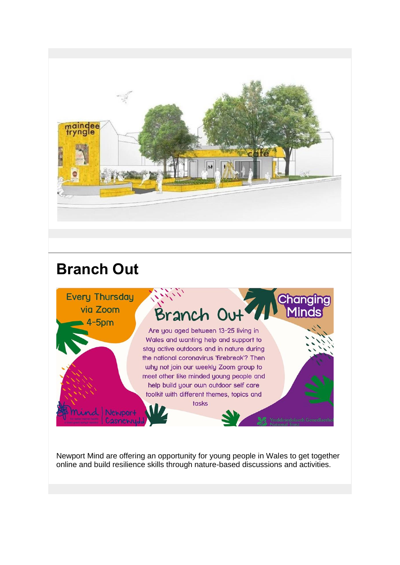

# **Branch Out**



Newport Mind are offering an opportunity for young people in Wales to get together online and build resilience skills through nature-based discussions and activities.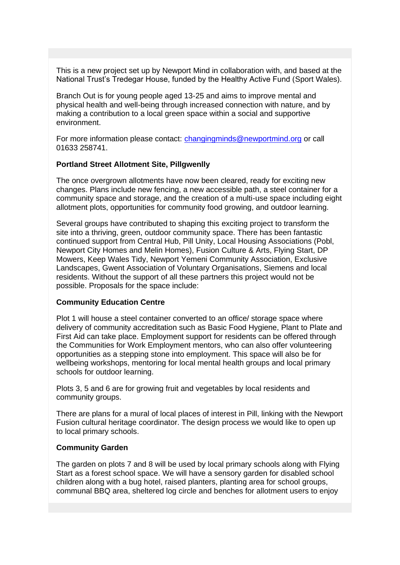This is a new project set up by Newport Mind in collaboration with, and based at the National Trust's Tredegar House, funded by the Healthy Active Fund (Sport Wales).

Branch Out is for young people aged 13-25 and aims to improve mental and physical health and well-being through increased connection with nature, and by making a contribution to a local green space within a social and supportive environment.

For more information please contact: [changingminds@newportmind.org](mailto:changingminds@newportmind.org) or call 01633 258741.

#### **Portland Street Allotment Site, Pillgwenlly**

The once overgrown allotments have now been cleared, ready for exciting new changes. Plans include new fencing, a new accessible path, a steel container for a community space and storage, and the creation of a multi-use space including eight allotment plots, opportunities for community food growing, and outdoor learning.

Several groups have contributed to shaping this exciting project to transform the site into a thriving, green, outdoor community space. There has been fantastic continued support from Central Hub, Pill Unity, Local Housing Associations (Pobl, Newport City Homes and Melin Homes), Fusion Culture & Arts, Flying Start, DP Mowers, Keep Wales Tidy, Newport Yemeni Community Association, Exclusive Landscapes, Gwent Association of Voluntary Organisations, Siemens and local residents. Without the support of all these partners this project would not be possible. Proposals for the space include:

#### **Community Education Centre**

Plot 1 will house a steel container converted to an office/ storage space where delivery of community accreditation such as Basic Food Hygiene, Plant to Plate and First Aid can take place. Employment support for residents can be offered through the Communities for Work Employment mentors, who can also offer volunteering opportunities as a stepping stone into employment. This space will also be for wellbeing workshops, mentoring for local mental health groups and local primary schools for outdoor learning.

Plots 3, 5 and 6 are for growing fruit and vegetables by local residents and community groups.

There are plans for a mural of local places of interest in Pill, linking with the Newport Fusion cultural heritage coordinator. The design process we would like to open up to local primary schools.

#### **Community Garden**

The garden on plots 7 and 8 will be used by local primary schools along with Flying Start as a forest school space. We will have a sensory garden for disabled school children along with a bug hotel, raised planters, planting area for school groups, communal BBQ area, sheltered log circle and benches for allotment users to enjoy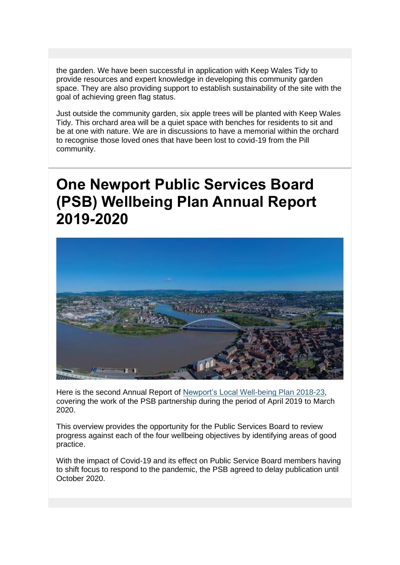the garden. We have been successful in application with Keep Wales Tidy to provide resources and expert knowledge in developing this community garden space. They are also providing support to establish sustainability of the site with the goal of achieving green flag status.

Just outside the community garden, six apple trees will be planted with Keep Wales Tidy. This orchard area will be a quiet space with benches for residents to sit and be at one with nature. We are in discussions to have a memorial within the orchard to recognise those loved ones that have been lost to covid-19 from the Pill community.

# **One Newport Public Services Board (PSB) Wellbeing Plan Annual Report 2019-2020**



Here is the second Annual Report of [Newport's Local Well-being Plan 2018-23,](https://eur03.safelinks.protection.outlook.com/?url=https%3A%2F%2Flnks.gd%2Fl%2FeyJhbGciOiJIUzI1NiJ9.eyJidWxsZXRpbl9saW5rX2lkIjoxMDIsInVyaSI6ImJwMjpjbGljayIsImJ1bGxldGluX2lkIjoiMjAyMDExMDkuMzAwNzQyMzEiLCJ1cmwiOiJodHRwOi8vb25lbmV3cG9ydGxzYi5uZXdwb3J0Lmdvdi51ay9kb2N1bWVudHMvT25lLU5ld3BvcnQvUGVyZm9ybWFuY2UvV2VsbC1iZWluZy1QbGFuLUFubnVhbC1SZXBvcnQtMjAxOS0yMC1GaW5hbC1FTi5wZGY_dXRtX21lZGl1bT1lbWFpbCZ1dG1fc291cmNlPWdvdmRlbGl2ZXJ5In0.sQimFZV5lLyq-YomaG_MlFGzkcOl4Nw1aUw3zIFdNEQ%2Fs%2F1312223162%2Fbr%2F88150361334-l&data=04%7C01%7CWayne.Tucker%40newport.gov.uk%7C095dcc4423544fc8bfbe08d88653ab22%7C2c4d0079c52c4bb3b3cad8eaf1b6b7d5%7C0%7C0%7C637407041217129320%7CUnknown%7CTWFpbGZsb3d8eyJWIjoiMC4wLjAwMDAiLCJQIjoiV2luMzIiLCJBTiI6Ik1haWwiLCJXVCI6Mn0%3D%7C1000&sdata=EZrmnOcrZINcysl%2Bsh2QbvuStb0dijJNl%2FLPs2%2FsCJ4%3D&reserved=0) covering the work of the PSB partnership during the period of April 2019 to March 2020.

This overview provides the opportunity for the Public Services Board to review progress against each of the four wellbeing objectives by identifying areas of good practice.

With the impact of Covid-19 and its effect on Public Service Board members having to shift focus to respond to the pandemic, the PSB agreed to delay publication until October 2020.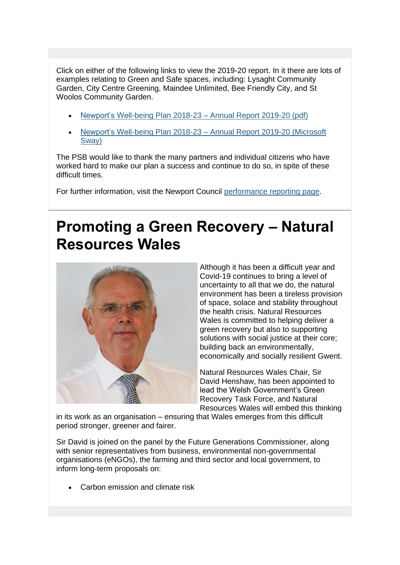Click on either of the following links to view the 2019-20 report. In it there are lots of examples relating to Green and Safe spaces, including: Lysaght Community Garden, City Centre Greening, Maindee Unlimited, Bee Friendly City, and St Woolos Community Garden.

- [Newport's Well-being Plan 2018-23 –](https://eur03.safelinks.protection.outlook.com/?url=https%3A%2F%2Flnks.gd%2Fl%2FeyJhbGciOiJIUzI1NiJ9.eyJidWxsZXRpbl9saW5rX2lkIjoxMDMsInVyaSI6ImJwMjpjbGljayIsImJ1bGxldGluX2lkIjoiMjAyMDExMDkuMzAwNzQyMzEiLCJ1cmwiOiJodHRwOi8vb25lbmV3cG9ydGxzYi5uZXdwb3J0Lmdvdi51ay9kb2N1bWVudHMvT25lLU5ld3BvcnQvUGVyZm9ybWFuY2UvJTIwTmV3cG9ydCVFMiU4MCU5OXMlMjBXZWxsLWJlaW5nJTIwUGxhbiUyMDIwMTgtMjMlMjAlRTIlODAlOTMlMjBBbm51YWwlMjBSZXBvcnQlMjAyMDE4LTE5JTIwKHBkZik_dXRtX21lZGl1bT1lbWFpbCZ1dG1fc291cmNlPWdvdmRlbGl2ZXJ5In0.uQjPCzrX63gHmeE7nEIP2feQSFejile5SvgSr85-RUE%2Fs%2F1312223162%2Fbr%2F88150361334-l&data=04%7C01%7CWayne.Tucker%40newport.gov.uk%7C095dcc4423544fc8bfbe08d88653ab22%7C2c4d0079c52c4bb3b3cad8eaf1b6b7d5%7C0%7C0%7C637407041217139308%7CUnknown%7CTWFpbGZsb3d8eyJWIjoiMC4wLjAwMDAiLCJQIjoiV2luMzIiLCJBTiI6Ik1haWwiLCJXVCI6Mn0%3D%7C1000&sdata=PDFLl3Jvfv3XHLiPRDIgkc0k8GoIsvN4TDbFecvUTu4%3D&reserved=0) Annual Report 2019-20 (pdf)
- [Newport's Well-being Plan 2018-23 –](https://eur03.safelinks.protection.outlook.com/?url=https%3A%2F%2Flnks.gd%2Fl%2FeyJhbGciOiJIUzI1NiJ9.eyJidWxsZXRpbl9saW5rX2lkIjoxMDQsInVyaSI6ImJwMjpjbGljayIsImJ1bGxldGluX2lkIjoiMjAyMDExMDkuMzAwNzQyMzEiLCJ1cmwiOiJodHRwczovL3N3YXkub2ZmaWNlLmNvbS9pQkpWZ2xjUTFCRm1iV2swP3JlZj1MaW5rJnV0bV9tZWRpdW09ZW1haWwmdXRtX3NvdXJjZT1nb3ZkZWxpdmVyeSJ9.9O7SoYcuP6IcFEHl2Gc0J7oZoI0FJHlK_9SxL0aybQE%2Fs%2F1312223162%2Fbr%2F88150361334-l&data=04%7C01%7CWayne.Tucker%40newport.gov.uk%7C095dcc4423544fc8bfbe08d88653ab22%7C2c4d0079c52c4bb3b3cad8eaf1b6b7d5%7C0%7C0%7C637407041217139308%7CUnknown%7CTWFpbGZsb3d8eyJWIjoiMC4wLjAwMDAiLCJQIjoiV2luMzIiLCJBTiI6Ik1haWwiLCJXVCI6Mn0%3D%7C1000&sdata=MoVJVe3cCZSJgOMH4EbKeFFjQ4GxSJpnzYhNqQZTpyE%3D&reserved=0) Annual Report 2019-20 (Microsoft [Sway\)](https://eur03.safelinks.protection.outlook.com/?url=https%3A%2F%2Flnks.gd%2Fl%2FeyJhbGciOiJIUzI1NiJ9.eyJidWxsZXRpbl9saW5rX2lkIjoxMDQsInVyaSI6ImJwMjpjbGljayIsImJ1bGxldGluX2lkIjoiMjAyMDExMDkuMzAwNzQyMzEiLCJ1cmwiOiJodHRwczovL3N3YXkub2ZmaWNlLmNvbS9pQkpWZ2xjUTFCRm1iV2swP3JlZj1MaW5rJnV0bV9tZWRpdW09ZW1haWwmdXRtX3NvdXJjZT1nb3ZkZWxpdmVyeSJ9.9O7SoYcuP6IcFEHl2Gc0J7oZoI0FJHlK_9SxL0aybQE%2Fs%2F1312223162%2Fbr%2F88150361334-l&data=04%7C01%7CWayne.Tucker%40newport.gov.uk%7C095dcc4423544fc8bfbe08d88653ab22%7C2c4d0079c52c4bb3b3cad8eaf1b6b7d5%7C0%7C0%7C637407041217139308%7CUnknown%7CTWFpbGZsb3d8eyJWIjoiMC4wLjAwMDAiLCJQIjoiV2luMzIiLCJBTiI6Ik1haWwiLCJXVCI6Mn0%3D%7C1000&sdata=MoVJVe3cCZSJgOMH4EbKeFFjQ4GxSJpnzYhNqQZTpyE%3D&reserved=0)

The PSB would like to thank the many partners and individual citizens who have worked hard to make our plan a success and continue to do so, in spite of these difficult times.

For further information, visit the Newport Council performance [reporting page.](https://eur03.safelinks.protection.outlook.com/?url=https%3A%2F%2Flnks.gd%2Fl%2FeyJhbGciOiJIUzI1NiJ9.eyJidWxsZXRpbl9saW5rX2lkIjoxMDUsInVyaSI6ImJwMjpjbGljayIsImJ1bGxldGluX2lkIjoiMjAyMDExMDkuMzAwNzQyMzEiLCJ1cmwiOiJodHRwOi8vb25lbmV3cG9ydGxzYi5uZXdwb3J0Lmdvdi51ay9vbmVOZXdwb3J0L1dlbGwtYmVpbmctUGxhbi9QZXJmb3JtYW5jZS1yZXBvcnRpbmcuYXNweD91dG1fbWVkaXVtPWVtYWlsJnV0bV9zb3VyY2U9Z292ZGVsaXZlcnkifQ.xkFfz5AK7nkD9s8P021_W5u98x9ALerLp1FdBHu4vnM%2Fs%2F1312223162%2Fbr%2F88150361334-l&data=04%7C01%7CWayne.Tucker%40newport.gov.uk%7C095dcc4423544fc8bfbe08d88653ab22%7C2c4d0079c52c4bb3b3cad8eaf1b6b7d5%7C0%7C0%7C637407041217149301%7CUnknown%7CTWFpbGZsb3d8eyJWIjoiMC4wLjAwMDAiLCJQIjoiV2luMzIiLCJBTiI6Ik1haWwiLCJXVCI6Mn0%3D%7C1000&sdata=ljuNpwYHNW8LoPWN%2BnrAy5jDlrMSlf9SCQKUUCpw8Kg%3D&reserved=0)

# **Promoting a Green Recovery – Natural Resources Wales**



Although it has been a difficult year and Covid-19 continues to bring a level of uncertainty to all that we do, the natural environment has been a tireless provision of space, solace and stability throughout the health crisis. Natural Resources Wales is committed to helping deliver a green recovery but also to supporting solutions with social justice at their core; building back an environmentally, economically and socially resilient Gwent.

Natural Resources Wales Chair, Sir David Henshaw, has been appointed to lead the Welsh Government's Green Recovery Task Force, and Natural Resources Wales will embed this thinking

in its work as an organisation – ensuring that Wales emerges from this difficult period stronger, greener and fairer.

Sir David is joined on the panel by the Future Generations Commissioner, along with senior representatives from business, environmental non-governmental organisations (eNGOs), the farming and third sector and local government, to inform long-term proposals on:

• Carbon emission and climate risk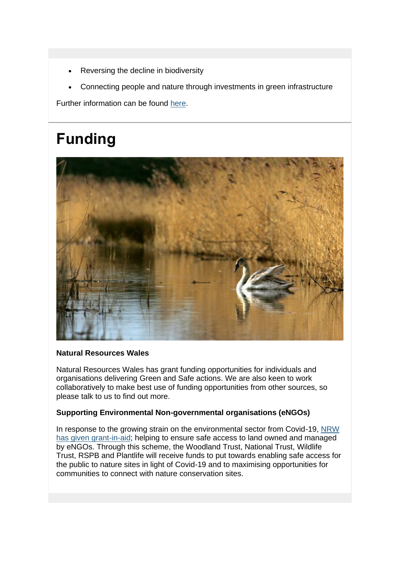- Reversing the decline in biodiversity
- Connecting people and nature through investments in green infrastructure

Further information can be found [here.](https://eur03.safelinks.protection.outlook.com/?url=https%3A%2F%2Flnks.gd%2Fl%2FeyJhbGciOiJIUzI1NiJ9.eyJidWxsZXRpbl9saW5rX2lkIjoxMDYsInVyaSI6ImJwMjpjbGljayIsImJ1bGxldGluX2lkIjoiMjAyMDExMDkuMzAwNzQyMzEiLCJ1cmwiOiJodHRwczovL25hdHVyYWxyZXNvdXJjZXMud2FsZXMvYWJvdXQtdXMvbmV3cy1hbmQtZXZlbnRzL25ld3MvbnJ3LWxlZC10YXNrZm9yY2Utc2V0LXRvLWFjY2VsZXJhdGUtYS1ncmVlbi1yZWNvdmVyeS1pbi13YWxlcy8_bGFuZz1lbiZ1dG1fbWVkaXVtPWVtYWlsJnV0bV9zb3VyY2U9Z292ZGVsaXZlcnkifQ.qO6ZifvfTuq0VxNs-q12D0JIP_ee085BRkB1zRjJ1AU%2Fs%2F1312223162%2Fbr%2F88150361334-l&data=04%7C01%7CWayne.Tucker%40newport.gov.uk%7C095dcc4423544fc8bfbe08d88653ab22%7C2c4d0079c52c4bb3b3cad8eaf1b6b7d5%7C0%7C0%7C637407041217159298%7CUnknown%7CTWFpbGZsb3d8eyJWIjoiMC4wLjAwMDAiLCJQIjoiV2luMzIiLCJBTiI6Ik1haWwiLCJXVCI6Mn0%3D%7C1000&sdata=GLyBdSUyDPDdmiB16t9hgmWg59G0WoM3Fkb%2BRWbQXpI%3D&reserved=0)

# **Funding**



### **Natural Resources Wales**

Natural Resources Wales has grant funding opportunities for individuals and organisations delivering Green and Safe actions. We are also keen to work collaboratively to make best use of funding opportunities from other sources, so please talk to us to find out more.

### **Supporting Environmental Non-governmental organisations (eNGOs)**

In response to the growing strain on the environmental sector from Covid-19, NRW [has given grant-in-aid;](https://eur03.safelinks.protection.outlook.com/?url=https%3A%2F%2Flnks.gd%2Fl%2FeyJhbGciOiJIUzI1NiJ9.eyJidWxsZXRpbl9saW5rX2lkIjoxMDcsInVyaSI6ImJwMjpjbGljayIsImJ1bGxldGluX2lkIjoiMjAyMDExMDkuMzAwNzQyMzEiLCJ1cmwiOiJodHRwczovL2xua3MuZ2QvbC9leUpoYkdjaU9pSklVekkxTmlKOS5leUppZFd4c1pYUnBibDlzYVc1clgybGtJam94TURFc0luVnlhU0k2SW1Kd01qcGpiR2xqYXlJc0ltSjFiR3hsZEdsdVgybGtJam9pTWpBeU1ERXdNRGt1TWpnME56WTVOREVpTENKMWNtd2lPaUpvZEhSd2N6b3ZMMjVoZEhWeVlXeHlaWE52ZFhKalpYTjNZV3hsY3k1bmIzWXVkV3N2WVdKdmRYUXRkWE12Ym1WM2N5MWhibVF0WlhabGJuUnpMMjVsZDNNdmJuSjNMV0YzWVhKa2N5MW5jbUZ1ZEhNdGRHOHRablZ1WkMxbmNtVmxiaTF5WldOdmRtVnllUzFtY205dExYQmhibVJsYldsakx6OXNZVzVuUFdWdUpuVjBiVjl0WldScGRXMDlaVzFoYVd3bWRYUnRYM052ZFhKalpUMW5iM1prWld4cGRtVnllU0o5Lml3TnhGM19XNUV2QTVfSFFqeUFGdUFSUG5uWG52X3huSVJldEZDMVhKWkEvcy8xMjk2MjYxNDQ4L2JyLzg2NjU5Njc2MDI0LWw_dXRtX21lZGl1bT1lbWFpbCZ1dG1fc291cmNlPWdvdmRlbGl2ZXJ5In0.ftluX5PAglBKtF4w8un5XU0RgUZ4Ipa17CAO41malF8%2Fs%2F1312223162%2Fbr%2F88150361334-l&data=04%7C01%7CWayne.Tucker%40newport.gov.uk%7C095dcc4423544fc8bfbe08d88653ab22%7C2c4d0079c52c4bb3b3cad8eaf1b6b7d5%7C0%7C0%7C637407041217159298%7CUnknown%7CTWFpbGZsb3d8eyJWIjoiMC4wLjAwMDAiLCJQIjoiV2luMzIiLCJBTiI6Ik1haWwiLCJXVCI6Mn0%3D%7C1000&sdata=vZZ72ZOEeUSq3XGf6VOfcH%2BO1z5eonRKfajbBkXv2Lk%3D&reserved=0) helping to ensure safe access to land owned and managed by eNGOs. Through this scheme, the Woodland Trust, National Trust, Wildlife Trust, RSPB and Plantlife will receive funds to put towards enabling safe access for the public to nature sites in light of Covid-19 and to maximising opportunities for communities to connect with nature conservation sites.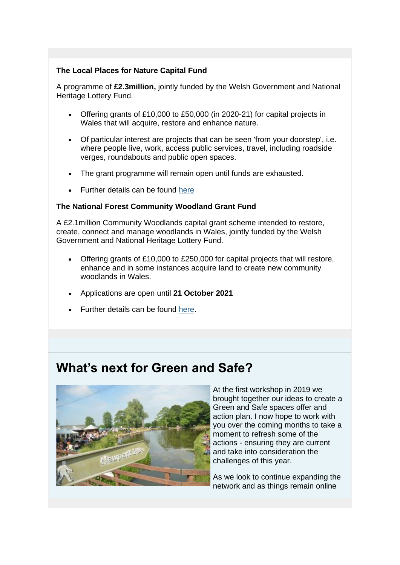### **The Local Places for Nature Capital Fund**

A programme of **£2.3million,** jointly funded by the Welsh Government and National Heritage Lottery Fund.

- Offering grants of £10,000 to £50,000 (in 2020-21) for capital projects in Wales that will acquire, restore and enhance nature.
- Of particular interest are projects that can be seen 'from your doorstep', i.e. where people live, work, access public services, travel, including roadside verges, roundabouts and public open spaces.
- The grant programme will remain open until funds are exhausted.
- Further details can be found [here](https://eur03.safelinks.protection.outlook.com/?url=https%3A%2F%2Flnks.gd%2Fl%2FeyJhbGciOiJIUzI1NiJ9.eyJidWxsZXRpbl9saW5rX2lkIjoxMDgsInVyaSI6ImJwMjpjbGljayIsImJ1bGxldGluX2lkIjoiMjAyMDExMDkuMzAwNzQyMzEiLCJ1cmwiOiJodHRwczovL3d3dy5oZXJpdGFnZWZ1bmQub3JnLnVrL2Z1bmRpbmcvbG9jYWwtcGxhY2VzLW5hdHVyZS1ndWlkYW5jZT91dG1fbWVkaXVtPWVtYWlsJnV0bV9zb3VyY2U9Z292ZGVsaXZlcnkifQ.Am9VNv6KZg-vkmGVEjDDpTIuQ9sTUSHUUSf0XXNXG64%2Fs%2F1312223162%2Fbr%2F88150361334-l&data=04%7C01%7CWayne.Tucker%40newport.gov.uk%7C095dcc4423544fc8bfbe08d88653ab22%7C2c4d0079c52c4bb3b3cad8eaf1b6b7d5%7C0%7C0%7C637407041217169295%7CUnknown%7CTWFpbGZsb3d8eyJWIjoiMC4wLjAwMDAiLCJQIjoiV2luMzIiLCJBTiI6Ik1haWwiLCJXVCI6Mn0%3D%7C1000&sdata=r4B2oL3AUVtzsdLWS35ggoJxNjudqsDStvLNIaUmgww%3D&reserved=0)

#### **The National Forest Community Woodland Grant Fund**

A £2.1million Community Woodlands capital grant scheme intended to restore, create, connect and manage woodlands in Wales, jointly funded by the Welsh Government and National Heritage Lottery Fund.

- Offering grants of £10,000 to £250,000 for capital projects that will restore, enhance and in some instances acquire land to create new community woodlands in Wales.
- Applications are open until **21 October 2021**
- Further details can be found [here.](https://eur03.safelinks.protection.outlook.com/?url=https%3A%2F%2Flnks.gd%2Fl%2FeyJhbGciOiJIUzI1NiJ9.eyJidWxsZXRpbl9saW5rX2lkIjoxMDksInVyaSI6ImJwMjpjbGljayIsImJ1bGxldGluX2lkIjoiMjAyMDExMDkuMzAwNzQyMzEiLCJ1cmwiOiJodHRwczovL3d3dy5oZXJpdGFnZWZ1bmQub3JnLnVrL2Z1bmRpbmcvY29tbXVuaXR5LXdvb2RsYW5kcy1ndWlkYW5jZT91dG1fbWVkaXVtPWVtYWlsJnV0bV9zb3VyY2U9Z292ZGVsaXZlcnkifQ.b0_c-MHm8YIW9nhoRfGUFPVystAiOdl8q4bY14tERJs%2Fs%2F1312223162%2Fbr%2F88150361334-l&data=04%7C01%7CWayne.Tucker%40newport.gov.uk%7C095dcc4423544fc8bfbe08d88653ab22%7C2c4d0079c52c4bb3b3cad8eaf1b6b7d5%7C0%7C0%7C637407041217179289%7CUnknown%7CTWFpbGZsb3d8eyJWIjoiMC4wLjAwMDAiLCJQIjoiV2luMzIiLCJBTiI6Ik1haWwiLCJXVCI6Mn0%3D%7C1000&sdata=T3CXZtdDQpcIhJqH76Q19DkoVrDH4256g5WN666r8d8%3D&reserved=0)

### **What's next for Green and Safe?**



At the first workshop in 2019 we brought together our ideas to create a Green and Safe spaces offer and action plan. I now hope to work with you over the coming months to take a moment to refresh some of the actions - ensuring they are current and take into consideration the challenges of this year.

As we look to continue expanding the network and as things remain online